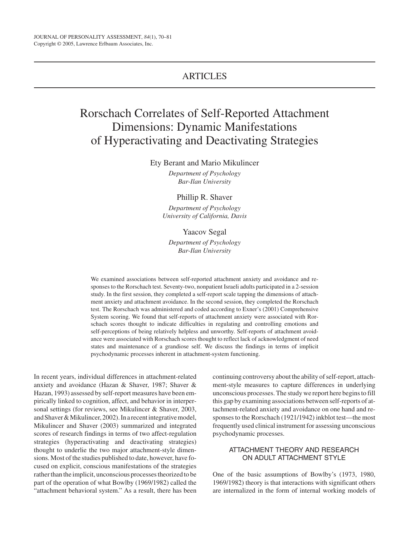## ARTICLES

# Rorschach Correlates of Self-Reported Attachment Dimensions: Dynamic Manifestations of Hyperactivating and Deactivating Strategies

### Ety Berant and Mario Mikulincer

*Department of Psychology Bar-Ilan University*

## Phillip R. Shaver

*Department of Psychology University of California, Davis*

## Yaacov Segal

*Department of Psychology Bar-Ilan University*

We examined associations between self-reported attachment anxiety and avoidance and responses to the Rorschach test. Seventy-two, nonpatient Israeli adults participated in a 2-session study. In the first session, they completed a self-report scale tapping the dimensions of attachment anxiety and attachment avoidance. In the second session, they completed the Rorschach test. The Rorschach was administered and coded according to Exner's (2001) Comprehensive System scoring. We found that self-reports of attachment anxiety were associated with Rorschach scores thought to indicate difficulties in regulating and controlling emotions and self-perceptions of being relatively helpless and unworthy. Self-reports of attachment avoidance were associated with Rorschach scores thought to reflect lack of acknowledgment of need states and maintenance of a grandiose self. We discuss the findings in terms of implicit psychodynamic processes inherent in attachment-system functioning.

In recent years, individual differences in attachment-related anxiety and avoidance (Hazan & Shaver, 1987; Shaver & Hazan, 1993) assessed by self-report measures have been empirically linked to cognition, affect, and behavior in interpersonal settings (for reviews, see Mikulincer & Shaver, 2003, and Shaver & Mikulincer, 2002). In a recent integrative model, Mikulincer and Shaver (2003) summarized and integrated scores of research findings in terms of two affect-regulation strategies (hyperactivating and deactivating strategies) thought to underlie the two major attachment-style dimensions. Most of the studies published to date, however, have focused on explicit, conscious manifestations of the strategies rather than the implicit, unconscious processes theorized to be part of the operation of what Bowlby (1969/1982) called the "attachment behavioral system." As a result, there has been continuing controversy about the ability of self-report, attachment-style measures to capture differences in underlying unconscious processes. The study we report here begins to fill this gap by examining associations between self-reports of attachment-related anxiety and avoidance on one hand and responses to the Rorschach (1921/1942) inkblot test—the most frequently used clinical instrument for assessing unconscious psychodynamic processes.

## ATTACHMENT THEORY AND RESEARCH ON ADULT ATTACHMENT STYLE

One of the basic assumptions of Bowlby's (1973, 1980, 1969/1982) theory is that interactions with significant others are internalized in the form of internal working models of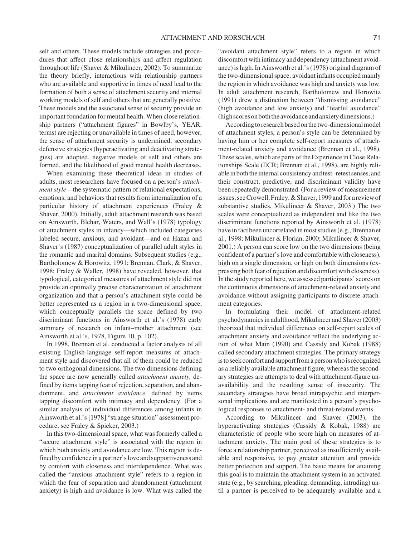self and others. These models include strategies and procedures that affect close relationships and affect regulation throughout life (Shaver & Mikulincer, 2002). To summarize the theory briefly, interactions with relationship partners who are available and supportive in times of need lead to the formation of both a sense of attachment security and internal working models of self and others that are generally positive. These models and the associated sense of security provide an important foundation for mental health. When close relationship partners ("attachment figures" in Bowlby's, YEAR, terms) are rejecting or unavailable in times of need, however, the sense of attachment security is undermined, secondary defensive strategies (hyperactivating and deactivating strategies) are adopted, negative models of self and others are formed, and the likelihood of good mental health decreases.

When examining these theoretical ideas in studies of adults, most researchers have focused on a person's *attachment style*—the systematic pattern of relational expectations, emotions, and behaviors that results from internalization of a particular history of attachment experiences (Fraley & Shaver, 2000). Initially, adult attachment research was based on Ainsworth, Blehar, Waters, and Wall's (1978) typology of attachment styles in infancy—which included categories labeled secure, anxious, and avoidant—and on Hazan and Shaver's (1987) conceptualization of parallel adult styles in the romantic and marital domains. Subsequent studies (e.g., Bartholomew & Horowitz, 1991; Brennan, Clark, & Shaver, 1998; Fraley & Waller, 1998) have revealed, however, that typological, categorical measures of attachment style did not provide an optimally precise characterization of attachment organization and that a person's attachment style could be better represented as a region in a two-dimensional space, which conceptually parallels the space defined by two discriminant functions in Ainsworth et al.'s (1978) early summary of research on infant–mother attachment (see Ainsworth et al.'s, 1978, Figure 10, p. 102).

In 1998, Brennan et al. conducted a factor analysis of all existing English-language self-report measures of attachment style and discovered that all of them could be reduced to two orthogonal dimensions. The two dimensions defining the space are now generally called *attachment anxiety,* defined by items tapping fear of rejection, separation, and abandonment, and *attachment avoidance,* defined by items tapping discomfort with intimacy and dependency. (For a similar analysis of individual differences among infants in Ainsworth et al.'s [1978] "strange situation" assessment procedure, see Fraley & Spieker, 2003.)

In this two-dimensional space, what was formerly called a "secure attachment style" is associated with the region in which both anxiety and avoidance are low. This region is defined by confidence in a partner's love and supportiveness and by comfort with closeness and interdependence. What was called the "anxious attachment style" refers to a region in which the fear of separation and abandonment (attachment anxiety) is high and avoidance is low. What was called the "avoidant attachment style" refers to a region in which discomfort with intimacy and dependency (attachment avoidance) is high. In Ainsworth et al.'s (1978) original diagram of the two-dimensional space, avoidant infants occupied mainly the region in which avoidance was high and anxiety was low. In adult attachment research, Bartholomew and Horowitz (1991) drew a distinction between "dismissing avoidance" (high avoidance and low anxiety) and "fearful avoidance" (high scores on both the avoidance and anxiety dimensions.)

According to research based on the two-dimensional model of attachment styles, a person's style can be determined by having him or her complete self-report measures of attachment-related anxiety and avoidance (Brennan et al., 1998). These scales, which are parts of the Experience in Close Relationships Scale (ECR; Brennan et al., 1998), are highly reliable in both the internal consistency and test–retest senses, and their construct, predictive, and discriminant validity have been repeatedly demonstrated. (For a review of measurement issues, see Crowell, Fraley, & Shaver, 1999 and for a review of substantive studies, Mikulincer & Shaver, 2003.) The two scales were conceptualized as independent and like the two discriminant functions reported by Ainsworth et al. (1978) have in fact been uncorrelated in most studies (e.g., Brennan et al., 1998; Mikulincer & Florian, 2000; Mikulincer & Shaver, 2001.) A person can score low on the two dimensions (being confident of a partner's love and comfortable with closeness), high on a single dimension, or high on both dimensions (expressing both fear of rejection and discomfort with closeness). In the study reported here, we assessed participants' scores on the continuous dimensions of attachment-related anxiety and avoidance without assigning participants to discrete attachment categories.

In formulating their model of attachment-related psychodynamics in adulthood, Mikulincer and Shaver (2003) theorized that individual differences on self-report scales of attachment anxiety and avoidance reflect the underlying action of what Main (1990) and Cassidy and Kobak (1988) called secondary attachment strategies. The primary strategy is to seek comfort and support from a person who is recognized as a reliably available attachment figure, whereas the secondary strategies are attempts to deal with attachment-figure unavailability and the resulting sense of insecurity. The secondary strategies have broad intrapsychic and interpersonal implications and are manifested in a person's psychological responses to attachment- and threat-related events.

According to Mikulincer and Shaver (2003), the hyperactivating strategies (Cassidy & Kobak, 1988) are characteristic of people who score high on measures of attachment anxiety. The main goal of these strategies is to force a relationship partner, perceived as insufficiently available and responsive, to pay greater attention and provide better protection and support. The basic means for attaining this goal is to maintain the attachment system in an activated state (e.g., by searching, pleading, demanding, intruding) until a partner is perceived to be adequately available and a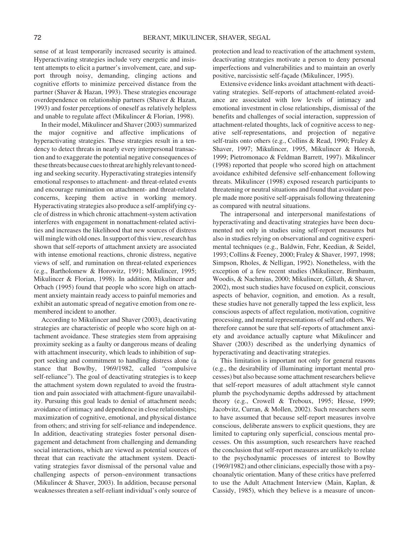sense of at least temporarily increased security is attained. Hyperactivating strategies include very energetic and insistent attempts to elicit a partner's involvement, care, and support through noisy, demanding, clinging actions and cognitive efforts to minimize perceived distance from the partner (Shaver & Hazan, 1993). These strategies encourage overdependence on relationship partners (Shaver & Hazan, 1993) and foster perceptions of oneself as relatively helpless and unable to regulate affect (Mikulincer & Florian, 1998).

In their model, Mikulincer and Shaver (2003) summarized the major cognitive and affective implications of hyperactivating strategies. These strategies result in a tendency to detect threats in nearly every interpersonal transaction and to exaggerate the potential negative consequences of these threats because cues to threat are highly relevant to needing and seeking security. Hyperactivating strategies intensify emotional responses to attachment- and threat-related events and encourage rumination on attachment- and threat-related concerns, keeping them active in working memory. Hyperactivating strategies also produce a self-amplifying cycle of distress in which chronic attachment-system activation interferes with engagement in nonattachment-related activities and increases the likelihood that new sources of distress will mingle with old ones. In support of this view, research has shown that self-reports of attachment anxiety are associated with intense emotional reactions, chronic distress, negative views of self, and rumination on threat-related experiences (e.g., Bartholomew & Horowitz, 1991; Mikulincer, 1995; Mikulincer & Florian, 1998). In addition, Mikulincer and Orbach (1995) found that people who score high on attachment anxiety maintain ready access to painful memories and exhibit an automatic spread of negative emotion from one remembered incident to another.

According to Mikulincer and Shaver (2003), deactivating strategies are characteristic of people who score high on attachment avoidance. These strategies stem from appraising proximity seeking as a faulty or dangerous means of dealing with attachment insecurity, which leads to inhibition of support seeking and commitment to handling distress alone (a stance that Bowlby, 1969/1982, called "compulsive self-reliance"). The goal of deactivating strategies is to keep the attachment system down regulated to avoid the frustration and pain associated with attachment-figure unavailability. Pursuing this goal leads to denial of attachment needs; avoidance of intimacy and dependence in close relationships; maximization of cognitive, emotional, and physical distance from others; and striving for self-reliance and independence. In addition, deactivating strategies foster personal disengagement and detachment from challenging and demanding social interactions, which are viewed as potential sources of threat that can reactivate the attachment system. Deactivating strategies favor dismissal of the personal value and challenging aspects of person–environment transactions (Mikulincer & Shaver, 2003). In addition, because personal weaknesses threaten a self-reliant individual's only source of protection and lead to reactivation of the attachment system, deactivating strategies motivate a person to deny personal imperfections and vulnerabilities and to maintain an overly positive, narcissistic self-façade (Mikulincer, 1995).

Extensive evidence links avoidant attachment with deactivating strategies. Self-reports of attachment-related avoidance are associated with low levels of intimacy and emotional investment in close relationships, dismissal of the benefits and challenges of social interaction, suppression of attachment-related thoughts, lack of cognitive access to negative self-representations, and projection of negative self-traits onto others (e.g., Collins & Read, 1990; Fraley & Shaver, 1997; Mikulincer, 1995, Mikulincer & Horesh, 1999; Pietromonaco & Feldman Barrett, 1997). Mikulincer (1998) reported that people who scored high on attachment avoidance exhibited defensive self-enhancement following threats. Mikulincer (1998) exposed research participants to threatening or neutral situations and found that avoidant people made more positive self-appraisals following threatening as compared with neutral situations.

The intrapersonal and interpersonal manifestations of hyperactivating and deactivating strategies have been documented not only in studies using self-report measures but also in studies relying on observational and cognitive experimental techniques (e.g., Baldwin, Fehr, Keedian, & Seidel, 1993; Collins & Feeney, 2000; Fraley & Shaver, 1997, 1998; Simpson, Rholes, & Nelligan, 1992). Nonetheless, with the exception of a few recent studies (Mikulincer, Birnbaum, Woodis, & Nachmias, 2000; Mikulincer, Gillath, & Shaver, 2002), most such studies have focused on explicit, conscious aspects of behavior, cognition, and emotion. As a result, these studies have not generally tapped the less explicit, less conscious aspects of affect regulation, motivation, cognitive processing, and mental representations of self and others. We therefore cannot be sure that self-reports of attachment anxiety and avoidance actually capture what Mikulincer and Shaver (2003) described as the underlying dynamics of hyperactivating and deactivating strategies.

This limitation is important not only for general reasons (e.g., the desirability of illuminating important mental processes) but also because some attachment researchers believe that self-report measures of adult attachment style cannot plumb the psychodynamic depths addressed by attachment theory (e.g., Crowell & Treboux, 1995; Hesse, 1999; Jacobvitz, Curran, & Mollen, 2002). Such researchers seem to have assumed that because self-report measures involve conscious, deliberate answers to explicit questions, they are limited to capturing only superficial, conscious mental processes. On this assumption, such researchers have reached the conclusion that self-report measures are unlikely to relate to the psychodynamic processes of interest to Bowlby (1969/1982) and other clinicians, especially those with a psychoanalytic orientation. Many of these critics have preferred to use the Adult Attachment Interview (Main, Kaplan, & Cassidy, 1985), which they believe is a measure of uncon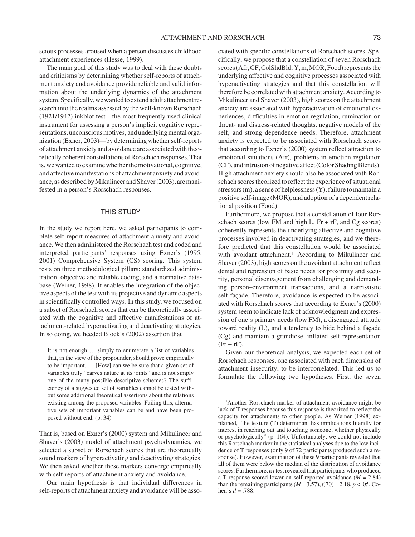scious processes aroused when a person discusses childhood attachment experiences (Hesse, 1999).

The main goal of this study was to deal with these doubts and criticisms by determining whether self-reports of attachment anxiety and avoidance provide reliable and valid information about the underlying dynamics of the attachment system. Specifically, we wanted to extend adult attachment research into the realms assessed by the well-known Rorschach (1921/1942) inkblot test—the most frequently used clinical instrument for assessing a person's implicit cognitive representations, unconscious motives, and underlying mental organization (Exner, 2003)—by determining whether self-reports of attachment anxiety and avoidance are associated with theoretically coherent constellations of Rorschach responses. That is, we wanted to examine whether the motivational, cognitive, and affective manifestations of attachment anxiety and avoidance, as described by Mikulincer and Shaver (2003), are manifested in a person's Rorschach responses.

#### THIS STUDY

In the study we report here, we asked participants to complete self-report measures of attachment anxiety and avoidance. We then administered the Rorschach test and coded and interpreted participants' responses using Exner's (1995, 2001) Comprehensive System (CS) scoring. This system rests on three methodological pillars: standardized administration, objective and reliable coding, and a normative database (Weiner, 1998). It enables the integration of the objective aspects of the test with its projective and dynamic aspects in scientifically controlled ways. In this study, we focused on a subset of Rorschach scores that can be theoretically associated with the cognitive and affective manifestations of attachment-related hyperactivating and deactivating strategies. In so doing, we heeded Block's (2002) assertion that

It is not enough … simply to enumerate a list of variables that, in the view of the propounder, should prove empirically to be important. … [How] can we be sure that a given set of variables truly "carves nature at its joints" and is not simply one of the many possible descriptive schemes? The sufficiency of a suggested set of variables cannot be tested without some additional theoretical assertions about the relations existing among the proposed variables. Failing this, alternative sets of important variables can be and have been proposed without end. (p. 34)

That is, based on Exner's (2000) system and Mikulincer and Shaver's (2003) model of attachment psychodynamics, we selected a subset of Rorschach scores that are theoretically sound markers of hyperactivating and deactivating strategies. We then asked whether these markers converge empirically with self-reports of attachment anxiety and avoidance.

Our main hypothesis is that individual differences in self-reports of attachment anxiety and avoidance will be associated with specific constellations of Rorschach scores. Specifically, we propose that a constellation of seven Rorschach scores (Afr, CF, ColShdBld, Y, m, MOR, Food) represents the underlying affective and cognitive processes associated with hyperactivating strategies and that this constellation will therefore be correlated with attachment anxiety. According to Mikulincer and Shaver (2003), high scores on the attachment anxiety are associated with hyperactivation of emotional experiences, difficulties in emotion regulation, rumination on threat- and distress-related thoughts, negative models of the self, and strong dependence needs. Therefore, attachment anxiety is expected to be associated with Rorschach scores that according to Exner's (2000) system reflect attraction to emotional situations (Afr), problems in emotion regulation (CF), and intrusion of negative affect (Color Shading Blends). High attachment anxiety should also be associated with Rorschach scores theorized to reflect the experience of situational stressors (m), a sense of helplessness (Y), failure to maintain a positive self-image (MOR), and adoption of a dependent relational position (Food).

Furthermore, we propose that a constellation of four Rorschach scores (low FM and high L,  $Fr + rF$ , and Cg scores) coherently represents the underlying affective and cognitive processes involved in deactivating strategies, and we therefore predicted that this constellation would be associated with avoidant attachment.<sup>1</sup> According to Mikulincer and Shaver (2003), high scores on the avoidant attachment reflect denial and repression of basic needs for proximity and security, personal disengagement from challenging and demanding person–environment transactions, and a narcissistic self-façade. Therefore, avoidance is expected to be associated with Rorschach scores that according to Exner's (2000) system seem to indicate lack of acknowledgment and expression of one's primary needs (low FM), a disengaged attitude toward reality (L), and a tendency to hide behind a façade (Cg) and maintain a grandiose, inflated self-representation  $(Fr + rF)$ .

Given our theoretical analysis, we expected each set of Rorschach responses, one associated with each dimension of attachment insecurity, to be intercorrelated. This led us to formulate the following two hypotheses. First, the seven

<sup>&</sup>lt;sup>1</sup> Another Rorschach marker of attachment avoidance might be lack of T responses because this response is theorized to reflect the capacity for attachments to other people. As Weiner (1998) explained, "the texture (T) determinant has implications literally for interest in reaching out and touching someone, whether physically or psychologically" (p. 164). Unfortunately, we could not include this Rorschach marker in the statistical analyses due to the low incidence of T responses (only 9 of 72 participants produced such a response). However, examination of these 9 participants revealed that all of them were below the median of the distribution of avoidance scores. Furthermore, a *t* test revealed that participants who produced a T response scored lower on self-reported avoidance (*M* = 2.84) than the remaining participants  $(M = 3.57)$ ,  $t(70) = 2.18$ ,  $p < .05$ , Cohen's *d* = .788.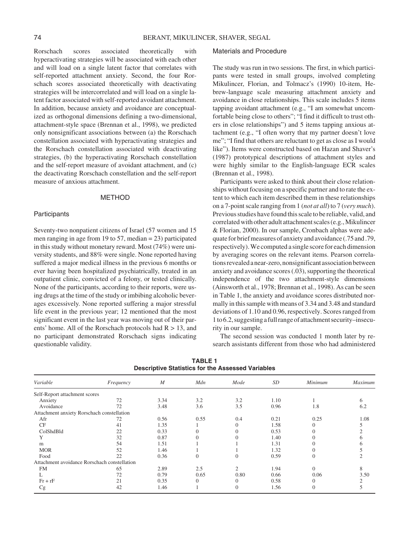Rorschach scores associated theoretically with hyperactivating strategies will be associated with each other and will load on a single latent factor that correlates with self-reported attachment anxiety. Second, the four Rorschach scores associated theoretically with deactivating strategies will be intercorrelated and will load on a single latent factor associated with self-reported avoidant attachment. In addition, because anxiety and avoidance are conceptualized as orthogonal dimensions defining a two-dimensional, attachment-style space (Brennan et al., 1998), we predicted only nonsignificant associations between (a) the Rorschach constellation associated with hyperactivating strategies and the Rorschach constellation associated with deactivating strategies, (b) the hyperactivating Rorschach constellation and the self-report measure of avoidant attachment, and (c) the deactivating Rorschach constellation and the self-report measure of anxious attachment.

#### **METHOD**

#### **Participants**

Seventy-two nonpatient citizens of Israel (57 women and 15 men ranging in age from 19 to 57, median = 23) participated in this study without monetary reward. Most (74%) were university students, and 88% were single. None reported having suffered a major medical illness in the previous 6 months or ever having been hospitalized psychiatrically, treated in an outpatient clinic, convicted of a felony, or tested clinically. None of the participants, according to their reports, were using drugs at the time of the study or imbibing alcoholic beverages excessively. None reported suffering a major stressful life event in the previous year; 12 mentioned that the most significant event in the last year was moving out of their parents' home. All of the Rorschach protocols had  $R > 13$ , and no participant demonstrated Rorschach signs indicating questionable validity.

#### Materials and Procedure

The study was run in two sessions. The first, in which participants were tested in small groups, involved completing Mikulincer, Florian, and Tolmacz's (1990) 10-item, Hebrew-language scale measuring attachment anxiety and avoidance in close relationships. This scale includes 5 items tapping avoidant attachment (e.g., "I am somewhat uncomfortable being close to others"; "I find it difficult to trust others in close relationships") and 5 items tapping anxious attachment (e.g., "I often worry that my partner doesn't love me"; "I find that others are reluctant to get as close as I would like"). Items were constructed based on Hazan and Shaver's (1987) prototypical descriptions of attachment styles and were highly similar to the English-language ECR scales (Brennan et al., 1998).

Participants were asked to think about their close relationships without focusing on a specific partner and to rate the extent to which each item described them in these relationships on a 7-point scale ranging from 1 (*not at all*) to 7 (*very much*). Previous studies have found this scale to be reliable, valid, and correlated with other adult attachment scales (e.g., Mikulincer & Florian, 2000). In our sample, Cronbach alphas were adequate for brief measures of anxiety and avoidance (.75 and .79, respectively). We computed a single score for each dimension by averaging scores on the relevant items. Pearson correlationsrevealedanear-zero,nonsignificantassociationbetween anxiety and avoidance scores (.03), supporting the theoretical independence of the two attachment-style dimensions (Ainsworth et al., 1978; Brennan et al., 1998). As can be seen in Table 1, the anxiety and avoidance scores distributed normally in this sample with means of 3.34 and 3.48 and standard deviations of 1.10 and 0.96, respectively. Scores ranged from 1to6.2,suggestingafullrangeofattachmentsecurity–insecurity in our sample.

The second session was conducted 1 month later by research assistants different from those who had administered

| Variable                                     | Frequency | M    | Mdn      | Mode           | SD   | Minimum  | Maximum |
|----------------------------------------------|-----------|------|----------|----------------|------|----------|---------|
| Self-Report attachment scores                |           |      |          |                |      |          |         |
| Anxiety                                      | 72        | 3.34 | 3.2      | 3.2            | 1.10 |          |         |
| Avoidance                                    | 72        | 3.48 | 3.6      | 3.5            | 0.96 | 1.8      | 6.2     |
| Attachment anxiety Rorschach constellation   |           |      |          |                |      |          |         |
| Afr                                          | 72        | 0.56 | 0.55     | 0.4            | 0.21 | 0.25     | 1.08    |
| <b>CF</b>                                    | 41        | 1.35 |          | $\Omega$       | 1.58 | $\Omega$ |         |
| ColShdBld                                    | 22        | 0.33 |          |                | 0.53 |          |         |
| Y                                            | 32        | 0.87 |          |                | 1.40 |          |         |
| m                                            | 54        | 1.51 |          |                | 1.31 |          |         |
| <b>MOR</b>                                   | 52        | 1.46 |          |                | 1.32 |          |         |
| Food                                         | 22        | 0.36 | $\Omega$ | $\Omega$       | 0.59 | $\Omega$ |         |
| Attachment avoidance Rorschach constellation |           |      |          |                |      |          |         |
| <b>FM</b>                                    | 65        | 2.89 | 2.5      | $\mathfrak{D}$ | 1.94 | $\Omega$ | 8       |
| L                                            | 72        | 0.79 | 0.65     | 0.80           | 0.66 | 0.06     | 3.50    |
| $Fr + rF$                                    | 21        | 0.35 | $\theta$ | $\mathbf{0}$   | 0.58 | $\Omega$ |         |
| Cg                                           | 42        | 1.46 |          | $\mathbf{0}$   | 1.56 | $\theta$ |         |

**TABLE 1 Descriptive Statistics for the Assessed Variables**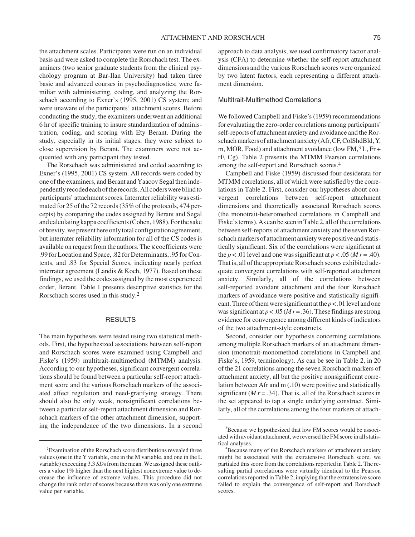the attachment scales. Participants were run on an individual basis and were asked to complete the Rorschach test. The examiners (two senior graduate students from the clinical psychology program at Bar-Ilan University) had taken three basic and advanced courses in psychodiagnostics; were familiar with administering, coding, and analyzing the Rorschach according to Exner's (1995, 2001) CS system; and were unaware of the participants' attachment scores. Before conducting the study, the examiners underwent an additional 6 hr of specific training to insure standardization of administration, coding, and scoring with Ety Berant. During the study, especially in its initial stages, they were subject to close supervision by Berant. The examiners were not acquainted with any participant they tested.

The Rorschach was administered and coded according to Exner's (1995, 2001) CS system. All records were coded by one of the examiners, and Berant and Yaacov Segal then independentlyrecodedeachoftherecords.Allcoderswereblindto participants' attachment scores. Interrater reliability was estimated for 25 of the 72 records (35% of the protocols, 474 percepts) by comparing the codes assigned by Berant and Segal andcalculatingkappacoefficients(Cohen,1988).Forthesake ofbrevity,wepresenthereonlytotalconfigurationagreement, but interrater reliability information for all of the CS codes is available on request from the authors. The κ coefficients were .99 for Location and Space, .82 for Determinants, .95 for Contents, and .83 for Special Scores, indicating nearly perfect interrater agreement (Landis & Koch, 1977). Based on these findings, we used the codes assigned by the most experienced coder, Berant. Table 1 presents descriptive statistics for the Rorschach scores used in this study.2

#### **RESULTS**

The main hypotheses were tested using two statistical methods. First, the hypothesized associations between self-report and Rorschach scores were examined using Campbell and Fiske's (1959) multitrait-multimethod (MTMM) analysis. According to our hypotheses, significant convergent correlations should be found between a particular self-report attachment score and the various Rorschach markers of the associated affect regulation and need-gratifying strategy. There should also be only weak, nonsignificant correlations between a particular self-report attachment dimension and Rorschach markers of the other attachment dimension, supporting the independence of the two dimensions. In a second

approach to data analysis, we used confirmatory factor analysis (CFA) to determine whether the self-report attachment dimensions and the various Rorschach scores were organized by two latent factors, each representing a different attachment dimension.

#### Multitrait-Multimethod Correlations

We followed Campbell and Fiske's (1959) recommendations for evaluating the zero-order correlations among participants' self-reports of attachment anxiety and avoidance and the Rorschach markers of attachment anxiety (Afr, CF, ColShdBld, Y, m, MOR, Food) and attachment avoidance (low FM $^{3}$ L, Fr + rF, Cg). Table 2 presents the MTMM Pearson correlations among the self-report and Rorschach scores.4

Campbell and Fiske (1959) discussed four desiderata for MTMM correlations, all of which were satisfied by the correlations in Table 2. First, consider our hypotheses about convergent correlations between self-report attachment dimensions and theoretically associated Rorschach scores (the monotrait-heteromethod correlations in Campbell and Fiske's terms). As can be seen in Table 2, all of the correlations between self-reports of attachment anxiety and the seven Rorschach markers of attachment anxiety were positive and statistically significant. Six of the correlations were significant at the  $p < .01$  level and one was significant at  $p < .05$  (*M r* = .40). That is, all of the appropriate Rorschach scores exhibited adequate convergent correlations with self-reported attachment anxiety. Similarly, all of the correlations between self-reported avoidant attachment and the four Rorschach markers of avoidance were positive and statistically significant. Three of them were significant at the *p*< .01 level and one was significant at  $p < .05$  ( $Mr = .36$ ). These findings are strong evidence for convergence among different kinds of indicators of the two attachment-style constructs.

Second, consider our hypothesis concerning correlations among multiple Rorschach markers of an attachment dimension (monotrait-monomethod correlations in Campbell and Fiske's, 1959, terminology). As can be see in Table 2, in 20 of the 21 correlations among the seven Rorschach markers of attachment anxiety, all but the positive nonsignificant correlation between Afr and m (.10) were positive and statistically significant ( $Mr = .34$ ). That is, all of the Rorschach scores in the set appeared to tap a single underlying construct. Similarly, all of the correlations among the four markers of attach-

<sup>2</sup> Examination of the Rorschach score distributions revealed three values (one in the Y variable, one in the M variable, and one in the L variable) exceeding 3.3 *SD*s from the mean. We assigned these outliers a value 1% higher than the next highest nonextreme value to decrease the influence of extreme values. This procedure did not change the rank order of scores because there was only one extreme value per variable.

<sup>&</sup>lt;sup>3</sup>Because we hypothesized that low FM scores would be associated with avoidant attachment, we reversed the FM score in all statistical analyses.

<sup>4</sup> Because many of the Rorschach markers of attachment anxiety might be associated with the extratensive Rorschach score, we partialed this score from the correlations reported in Table 2. The resulting partial correlations were virtually identical to the Pearson correlations reported in Table 2, implying that the extratensive score failed to explain the convergence of self-report and Rorschach scores.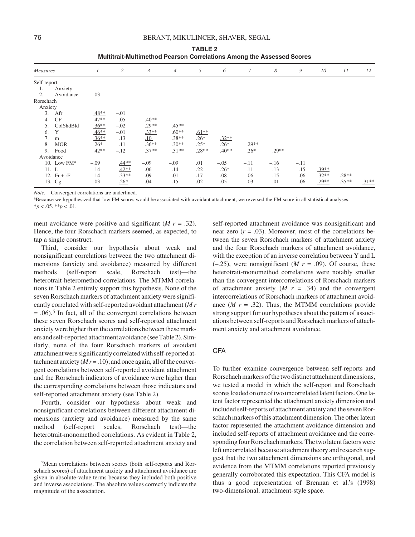| Measures    |               |         | 2       | 3       | $\overline{4}$ | 5       | 6       | 7       | 8       | 9      | 10      | 11      | 12      |
|-------------|---------------|---------|---------|---------|----------------|---------|---------|---------|---------|--------|---------|---------|---------|
| Self-report |               |         |         |         |                |         |         |         |         |        |         |         |         |
| 1.          | Anxiety       |         |         |         |                |         |         |         |         |        |         |         |         |
| 2.          | Avoidance     | .03     |         |         |                |         |         |         |         |        |         |         |         |
| Rorschach   |               |         |         |         |                |         |         |         |         |        |         |         |         |
| Anxiety     |               |         |         |         |                |         |         |         |         |        |         |         |         |
| 3.          | Afr           | $.48**$ | $-.01$  |         |                |         |         |         |         |        |         |         |         |
| 4.          | CF            | $.47**$ | $-.05$  | $.40**$ |                |         |         |         |         |        |         |         |         |
| 5.          | ColShdBld     | $.36**$ | $-.02$  | $.29**$ | $.45**$        |         |         |         |         |        |         |         |         |
| 6.          | Y             | $.46**$ | $-.01$  | $.33**$ | $.60**$        | $.61**$ |         |         |         |        |         |         |         |
| 7.          | m             | $.36**$ | .13     | .10     | $.38**$        | $.26*$  | $.32**$ |         |         |        |         |         |         |
| 8.          | <b>MOR</b>    | $.26*$  | .11     | $.36**$ | $.30**$        | $.25*$  | $.26*$  | $.29**$ |         |        |         |         |         |
| 9.          | Food          | $.42**$ | $-.12$  | $.37**$ | $.31**$        | $.28**$ | $.40**$ | $.26*$  | $.29**$ |        |         |         |         |
| Avoidance   |               |         |         |         |                |         |         |         |         |        |         |         |         |
|             | 10. Low $FMa$ | $-.09$  | $.44**$ | $-.09$  | $-.09$         | .01     | $-.05$  | $-.11$  | $-.16$  | $-.11$ |         |         |         |
| 11. L       |               | $-.14$  | $.42**$ | .06     | $-.14$         | $-.22$  | $-.26*$ | $-.11$  | $-.13$  | $-.15$ | $.39**$ |         |         |
|             | 12. $Fr + rF$ | $-.14$  | $.33**$ | $-.09$  | $-.01$         | .17     | .08     | .06     | .15     | $-.06$ | $.32**$ | $.28**$ |         |
|             | 13. Cg        | $-.03$  | $.26*$  | $-.04$  | $-.15$         | $-.02$  | .05     | .03     | .01     | $-.06$ | $.29**$ | $.35**$ | $.31**$ |

**TABLE 2 Multitrait-Multimethod Pearson Correlations Among the Assessed Scores**

*Note.* Convergent correlations are underlined.

aBecause we hypothesized that low FM scores would be associated with avoidant attachment, we reversed the FM score in all statistical analyses. \**p* < .05. \*\**p* < .01.

ment avoidance were positive and significant (*M r* = .32). Hence, the four Rorschach markers seemed, as expected, to tap a single construct.

Third, consider our hypothesis about weak and nonsignificant correlations between the two attachment dimensions (anxiety and avoidance) measured by different methods (self-report scale, Rorschach test)—the heterotrait-heteromethod correlations. The MTMM correlations in Table 2 entirely support this hypothesis. None of the seven Rorschach markers of attachment anxiety were significantly correlated with self-reported avoidant attachment (*M r*  $= .06$ .<sup>5</sup> In fact, all of the convergent correlations between these seven Rorschach scores and self-reported attachment anxiety were higher than the correlations between these markersandself-reportedattachmentavoidance(seeTable2).Similarly, none of the four Rorschach markers of avoidant attachment were significantly correlated with self-reported attachment anxiety  $(Mr=.10)$ ; and once again, all of the convergent correlations between self-reported avoidant attachment and the Rorschach indicators of avoidance were higher than the corresponding correlations between those indicators and self-reported attachment anxiety (see Table 2).

Fourth, consider our hypothesis about weak and nonsignificant correlations between different attachment dimensions (anxiety and avoidance) measured by the same method (self-report scales, Rorschach test)—the heterotrait-monomethod correlations. As evident in Table 2, the correlation between self-reported attachment anxiety and self-reported attachment avoidance was nonsignificant and near zero  $(r = .03)$ . Moreover, most of the correlations between the seven Rorschach markers of attachment anxiety and the four Rorschach markers of attachment avoidance, with the exception of an inverse correlation between Y and L  $(-.25)$ , were nonsignificant (*M r = .*09). Of course, these heterotrait-monomethod correlations were notably smaller than the convergent intercorrelations of Rorschach markers of attachment anxiety  $(M \rightharpoondown r = .34)$  and the convergent intercorrelations of Rorschach markers of attachment avoidance  $(M \rvert r = .32)$ . Thus, the MTMM correlations provide strong support for our hypotheses about the pattern of associations between self-reports and Rorschach markers of attachment anxiety and attachment avoidance.

## CFA

To further examine convergence between self-reports and Rorschach markers of the two distinct attachment dimensions, we tested a model in which the self-report and Rorschach scores loaded on one of two uncorrelated latent factors. One latent factor represented the attachment anxiety dimension and included self-reports of attachment anxiety and the seven Rorschach markers of this attachment dimension. The other latent factor represented the attachment avoidance dimension and included self-reports of attachment avoidance and the corresponding four Rorschach markers. The two latent factors were left uncorrelated because attachment theory and research suggest that the two attachment dimensions are orthogonal, and evidence from the MTMM correlations reported previously generally corroborated this expectation. This CFA model is thus a good representation of Brennan et al.'s (1998) two-dimensional, attachment-style space.

<sup>5</sup> Mean correlations between scores (both self-reports and Rorschach scores) of attachment anxiety and attachment avoidance are given in absolute-value terms because they included both positive and inverse associations. The absolute values correctly indicate the magnitude of the association.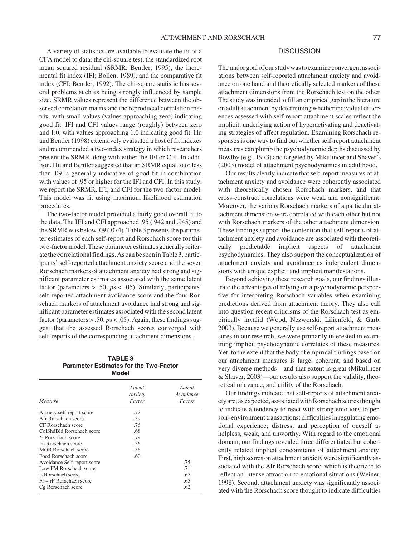A variety of statistics are available to evaluate the fit of a CFA model to data: the chi-square test, the standardized root mean squared residual (SRMR; Bentler, 1995), the incremental fit index (IFI; Bollen, 1989), and the comparative fit index (CFI; Bentler, 1992). The chi-square statistic has several problems such as being strongly influenced by sample size. SRMR values represent the difference between the observed correlation matrix and the reproduced correlation matrix, with small values (values approaching zero) indicating good fit. IFI and CFI values range (roughly) between zero and 1.0, with values approaching 1.0 indicating good fit. Hu and Bentler (1998) extensively evaluated a host of fit indexes and recommended a two-index strategy in which researchers present the SRMR along with either the IFI or CFI. In addition, Hu and Bentler suggested that an SRMR equal to or less than .09 is generally indicative of good fit in combination with values of .95 or higher for the IFI and CFI. In this study, we report the SRMR, IFI, and CFI for the two-factor model. This model was fit using maximum likelihood estimation procedures.

The two-factor model provided a fairly good overall fit to the data. The IFI and CFI approached .95 (.942 and .945) and the SRMR was below .09 (.074). Table 3 presents the parameter estimates of each self-report and Rorschach score for this two-factor model. These parameter estimates generally reiterate the correlational findings. As can be seen in Table 3, participants' self-reported attachment anxiety score and the seven Rorschach markers of attachment anxiety had strong and significant parameter estimates associated with the same latent factor (parameters > .50, *p*s < .05). Similarly, participants' self-reported attachment avoidance score and the four Rorschach markers of attachment avoidance had strong and significant parameter estimates associated with the second latent factor (parameters > .50, *p*s < .05). Again, these findings suggest that the assessed Rorschach scores converged with self-reports of the corresponding attachment dimensions.

**TABLE 3 Parameter Estimates for the Two-Factor Model**

| Measure                     | Latent<br>Anxiety<br>Factor | Latent<br>Avoidance<br>Factor |
|-----------------------------|-----------------------------|-------------------------------|
| Anxiety self-report score   | .72                         |                               |
| Afr Rorschach score         | .59                         |                               |
| CF Rorschach score          | .76                         |                               |
| ColShdBld Rorschach score   | .68                         |                               |
| Y Rorschach score           | .79                         |                               |
| m Rorschach score           | .56                         |                               |
| MOR Rorschach score         | .56                         |                               |
| Food Rorschach score        | .60                         |                               |
| Avoidance Self-report score |                             | .75                           |
| Low FM Rorschach score      |                             | .71                           |
| L Rorschach score           |                             | .67                           |
| $Fr + rF$ Rorschach score   |                             | .65                           |
| Cg Rorschach score          |                             | .62                           |

#### **DISCUSSION**

The major goal of our study was to examine convergent associations between self-reported attachment anxiety and avoidance on one hand and theoretically selected markers of these attachment dimensions from the Rorschach test on the other. The study was intended to fill an empirical gap in the literature on adult attachment by determining whether individual differences assessed with self-report attachment scales reflect the implicit, underlying action of hyperactivating and deactivating strategies of affect regulation. Examining Rorschach responses is one way to find out whether self-report attachment measures can plumb the psychodynamic depths discussed by Bowlby (e.g., 1973) and targeted by Mikulincer and Shaver's (2003) model of attachment psychodynamics in adulthood.

Our results clearly indicate that self-report measures of attachment anxiety and avoidance were coherently associated with theoretically chosen Rorschach markers, and that cross-construct correlations were weak and nonsignificant. Moreover, the various Rorschach markers of a particular attachment dimension were correlated with each other but not with Rorschach markers of the other attachment dimension. These findings support the contention that self-reports of attachment anxiety and avoidance are associated with theoretically predictable implicit aspects of attachment psychodynamics. They also support the conceptualization of attachment anxiety and avoidance as independent dimensions with unique explicit and implicit manifestations.

Beyond achieving these research goals, our findings illustrate the advantages of relying on a psychodynamic perspective for interpreting Rorschach variables when examining predictions derived from attachment theory. They also call into question recent criticisms of the Rorschach test as empirically invalid (Wood, Nezworski, Lilienfeld, & Garb, 2003). Because we generally use self-report attachment measures in our research, we were primarily interested in examining implicit psychodynamic correlates of these measures. Yet, to the extent that the body of empirical findings based on our attachment measures is large, coherent, and based on very diverse methods—and that extent is great (Mikulincer & Shaver, 2003)—our results also support the validity, theoretical relevance, and utility of the Rorschach.

Our findings indicate that self-reports of attachment anxiety are, as expected, associated with Rorschach scores thought to indicate a tendency to react with strong emotions to person–environment transactions; difficulties in regulating emotional experience; distress; and perception of oneself as helpless, weak, and unworthy. With regard to the emotional domain, our findings revealed three differentiated but coherently related implicit concomitants of attachment anxiety. First, high scores on attachment anxiety were significantly associated with the Afr Rorschach score, which is theorized to reflect an intense attraction to emotional situations (Weiner, 1998). Second, attachment anxiety was significantly associated with the Rorschach score thought to indicate difficulties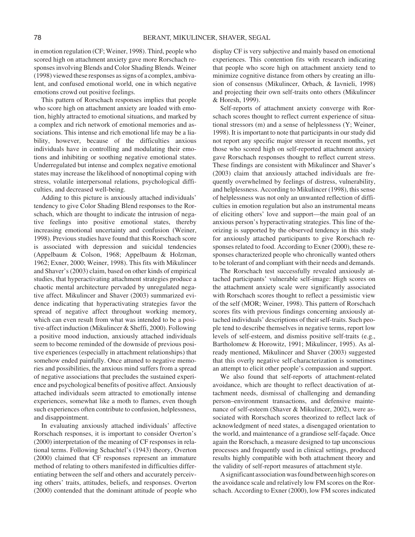in emotion regulation (CF; Weiner, 1998). Third, people who scored high on attachment anxiety gave more Rorschach responses involving Blends and Color Shading Blends. Weiner (1998) viewed these responses as signs of a complex, ambivalent, and confused emotional world, one in which negative emotions crowd out positive feelings.

This pattern of Rorschach responses implies that people who score high on attachment anxiety are loaded with emotion, highly attracted to emotional situations, and marked by a complex and rich network of emotional memories and associations. This intense and rich emotional life may be a liability, however, because of the difficulties anxious individuals have in controlling and modulating their emotions and inhibiting or soothing negative emotional states. Underregulated but intense and complex negative emotional states may increase the likelihood of nonoptimal coping with stress, volatile interpersonal relations, psychological difficulties, and decreased well-being.

Adding to this picture is anxiously attached individuals' tendency to give Color Shading Blend responses to the Rorschach, which are thought to indicate the intrusion of negative feelings into positive emotional states, thereby increasing emotional uncertainty and confusion (Weiner, 1998). Previous studies have found that this Rorschach score is associated with depression and suicidal tendencies (Appelbaum & Colson, 1968; Appelbaum & Holzman, 1962; Exner, 2000; Weiner, 1998). This fits with Mikulincer and Shaver's (2003) claim, based on other kinds of empirical studies, that hyperactivating attachment strategies produce a chaotic mental architecture pervaded by unregulated negative affect. Mikulincer and Shaver (2003) summarized evidence indicating that hyperactivating strategies favor the spread of negative affect throughout working memory, which can even result from what was intended to be a positive-affect induction (Mikulincer & Sheffi, 2000). Following a positive mood induction, anxiously attached individuals seem to become reminded of the downside of previous positive experiences (especially in attachment relationships) that somehow ended painfully. Once attuned to negative memories and possibilities, the anxious mind suffers from a spread of negative associations that precludes the sustained experience and psychological benefits of positive affect. Anxiously attached individuals seem attracted to emotionally intense experiences, somewhat like a moth to flames, even though such experiences often contribute to confusion, helplessness, and disappointment.

In evaluating anxiously attached individuals' affective Rorschach responses, it is important to consider Overton's (2000) interpretation of the meaning of CF responses in relational terms. Following Schachtel's (1943) theory, Overton (2000) claimed that CF responses represent an immature method of relating to others manifested in difficulties differentiating between the self and others and accurately perceiving others' traits, attitudes, beliefs, and responses. Overton (2000) contended that the dominant attitude of people who display CF is very subjective and mainly based on emotional experiences. This contention fits with research indicating that people who score high on attachment anxiety tend to minimize cognitive distance from others by creating an illusion of consensus (Mikulincer, Orbach, & Iavnieli, 1998) and projecting their own self-traits onto others (Mikulincer & Horesh, 1999).

Self-reports of attachment anxiety converge with Rorschach scores thought to reflect current experience of situational stressors (m) and a sense of helplessness (Y; Weiner, 1998). It is important to note that participants in our study did not report any specific major stressor in recent months, yet those who scored high on self-reported attachment anxiety gave Rorschach responses thought to reflect current stress. These findings are consistent with Mikulincer and Shaver's (2003) claim that anxiously attached individuals are frequently overwhelmed by feelings of distress, vulnerability, and helplessness. According to Mikulincer (1998), this sense of helplessness was not only an unwanted reflection of difficulties in emotion regulation but also an instrumental means of eliciting others' love and support—the main goal of an anxious person's hyperactivating strategies. This line of theorizing is supported by the observed tendency in this study for anxiously attached participants to give Rorschach responses related to food. According to Exner (2000), these responses characterized people who chronically wanted others to be tolerant of and compliant with their needs and demands.

The Rorschach test successfully revealed anxiously attached participants' vulnerable self-image: High scores on the attachment anxiety scale were significantly associated with Rorschach scores thought to reflect a pessimistic view of the self (MOR; Weiner, 1998). This pattern of Rorschach scores fits with previous findings concerning anxiously attached individuals' descriptions of their self-traits. Such people tend to describe themselves in negative terms, report low levels of self-esteem, and dismiss positive self-traits (e.g., Bartholomew & Horowitz, 1991; Mikulincer, 1995). As already mentioned, Mikulincer and Shaver (2003) suggested that this overly negative self-characterization is sometimes an attempt to elicit other people's compassion and support.

We also found that self-reports of attachment-related avoidance, which are thought to reflect deactivation of attachment needs, dismissal of challenging and demanding person–environment transactions, and defensive maintenance of self-esteem (Shaver & Mikulincer, 2002), were associated with Rorschach scores theorized to reflect lack of acknowledgment of need states, a disengaged orientation to the world, and maintenance of a grandiose self-façade. Once again the Rorschach, a measure designed to tap unconscious processes and frequently used in clinical settings, produced results highly compatible with both attachment theory and the validity of self-report measures of attachment style.

A significant association was found between high scores on the avoidance scale and relatively low FM scores on the Rorschach. According to Exner (2000), low FM scores indicated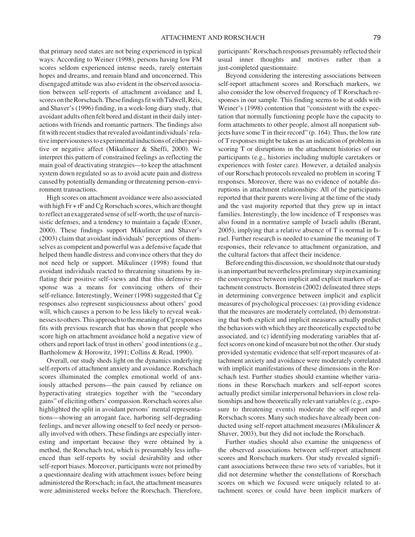that primary need states are not being experienced in typical ways. According to Weiner (1998), persons having low FM scores seldom experienced intense needs, rarely entertain hopes and dreams, and remain bland and unconcerned. This disengaged attitude was also evident in the observed association between self-reports of attachment avoidance and L scores on the Rorschach. These findings fit with Tidwell, Reis, and Shaver's (1996) finding, in a week-long diary study, that avoidant adults often felt bored and distant in their daily interactions with friends and romantic partners. The findings also fit with recent studies that revealed avoidant individuals' relative imperviousness to experimental inductions of either positive or negative affect (Mikulincer & Sheffi, 2000). We interpret this pattern of constrained feelings as reflecting the main goal of deactivating strategies—to keep the attachment system down regulated so as to avoid acute pain and distress caused by potentially demanding or threatening person–environment transactions.

High scores on attachment avoidance were also associated with high Fr + rF and Cg Rorschach scores, which are thought to reflect an exaggerated sense of self-worth, the use of narcissistic defenses, and a tendency to maintain a façade (Exner, 2000). These findings support Mikulincer and Shaver's (2003) claim that avoidant individuals' perceptions of themselves as competent and powerful was a defensive façade that helped them handle distress and convince others that they do not need help or support. Mikulincer (1998) found that avoidant individuals reacted to threatening situations by inflating their positive self-views and that this defensive response was a means for convincing others of their self-reliance. Interestingly, Weiner (1998) suggested that Cg responses also represent suspiciousness about others' good will, which causes a person to be less likely to reveal weaknessestoothers.ThisapproachtothemeaningofCgresponses fits with previous research that has shown that people who score high on attachment avoidance hold a negative view of others and report lack of trust in others' good intentions (e.g., Bartholomew & Horowitz, 1991; Collins & Read, 1990).

Overall, our study sheds light on the dynamics underlying self-reports of attachment anxiety and avoidance. Rorschach scores illuminated the complex emotional world of anxiously attached persons—the pain caused by reliance on hyperactivating strategies together with the "secondary gains" of eliciting others' compassion. Rorschach scores also highlighted the split in avoidant persons' mental representations—showing an arrogant face, harboring self-degrading feelings, and never allowing oneself to feel needy or personally involved with others. These findings are especially interesting and important because they were obtained by a method, the Rorschach test, which is presumably less influenced than self-reports by social desirability and other self-report biases. Moreover, participants were not primed by a questionnaire dealing with attachment issues before being administered the Rorschach; in fact, the attachment measures were administered weeks before the Rorschach. Therefore, participants' Rorschach responses presumably reflected their usual inner thoughts and motives rather than a just-completed questionnaire.

Beyond considering the interesting associations between self-report attachment scores and Rorschach markers, we also consider the low observed frequency of T Rorschach responses in our sample. This finding seems to be at odds with Weiner's (1998) contention that "consistent with the expectation that normally functioning people have the capacity to form attachments to other people, almost all nonpatient subjects have some T in their record" (p. 164). Thus, the low rate of T responses might be taken as an indication of problems in scoring T or disruptions in the attachment histories of our participants (e.g., histories including multiple caretakers or experiences with foster care). However, a detailed analysis of our Rorschach protocols revealed no problem in scoring T responses. Moreover, there was no evidence of notable disruptions in attachment relationships: All of the participants reported that their parents were living at the time of the study and the vast majority reported that they grew up in intact families. Interestingly, the low incidence of T responses was also found in a normative sample of Israeli adults (Berant, 2005), implying that a relative absence of T is normal in Israel. Further research is needed to examine the meaning of T responses, their relevance to attachment organization, and the cultural factors that affect their incidence.

Before ending this discussion, we should note that our study is an important but nevertheless preliminary step in examining the convergence between implicit and explicit markers of attachment constructs. Bornstein (2002) delineated three steps in determining convergence between implicit and explicit measures of psychological processes: (a) providing evidence that the measures are moderately correlated, (b) demonstrating that both explicit and implicit measures actually predict the behaviors with which they are theoretically expected to be associated, and (c) identifying moderating variables that affect scores on one kind of measure but not the other. Our study provided systematic evidence that self-report measures of attachment anxiety and avoidance were moderately correlated with implicit manifestations of these dimensions in the Rorschach test. Further studies should examine whether variations in these Rorschach markers and self-report scores actually predict similar interpersonal behaviors in close relationships and how theoretically relevant variables (e.g., exposure to threatening events) moderate the self-report and Rorschach scores. Many such studies have already been conducted using self-report attachment measures (Mikulincer & Shaver, 2003), but they did not include the Rorschach.

Further studies should also examine the uniqueness of the observed associations between self-report attachment scores and Rorschach markers. Our study revealed significant associations between these two sets of variables, but it did not determine whether the constellations of Rorschach scores on which we focused were uniquely related to attachment scores or could have been implicit markers of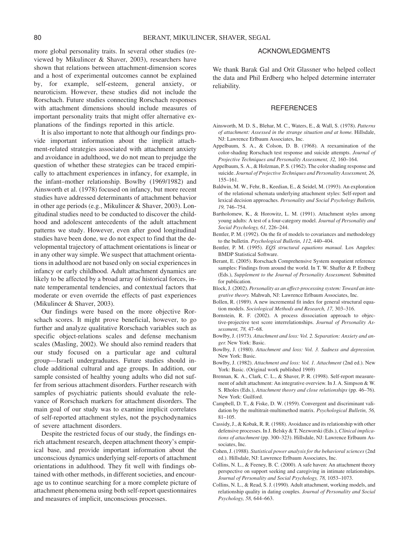more global personality traits. In several other studies (reviewed by Mikulincer & Shaver, 2003), researchers have shown that relations between attachment-dimension scores and a host of experimental outcomes cannot be explained by, for example, self-esteem, general anxiety, or neuroticism. However, these studies did not include the Rorschach. Future studies connecting Rorschach responses with attachment dimensions should include measures of important personality traits that might offer alternative explanations of the findings reported in this article.

It is also important to note that although our findings provide important information about the implicit attachment-related strategies associated with attachment anxiety and avoidance in adulthood, we do not mean to prejudge the question of whether these strategies can be traced empirically to attachment experiences in infancy, for example, in the infant–mother relationship. Bowlby (1969/1982) and Ainsworth et al. (1978) focused on infancy, but more recent studies have addressed determinants of attachment behavior in other age periods (e.g., Mikulincer & Shaver, 2003). Longitudinal studies need to be conducted to discover the childhood and adolescent antecedents of the adult attachment patterns we study. However, even after good longitudinal studies have been done, we do not expect to find that the developmental trajectory of attachment orientations is linear or in any other way simple. We suspect that attachment orientations in adulthood are not based only on social experiences in infancy or early childhood. Adult attachment dynamics are likely to be affected by a broad array of historical forces, innate temperamental tendencies, and contextual factors that moderate or even override the effects of past experiences (Mikulincer & Shaver, 2003).

Our findings were based on the more objective Rorschach scores. It might prove beneficial, however, to go further and analyze qualitative Rorschach variables such as specific object-relations scales and defense mechanism scales (Masling, 2002). We should also remind readers that our study focused on a particular age and cultural group—Israeli undergraduates. Future studies should include additional cultural and age groups. In addition, our sample consisted of healthy young adults who did not suffer from serious attachment disorders. Further research with samples of psychiatric patients should evaluate the relevance of Rorschach markers for attachment disorders. The main goal of our study was to examine implicit correlates of self-reported attachment styles, not the psychodynamics of severe attachment disorders.

Despite the restricted focus of our study, the findings enrich attachment research, deepen attachment theory's empirical base, and provide important information about the unconscious dynamics underlying self-reports of attachment orientations in adulthood. They fit well with findings obtained with other methods, in different societies, and encourage us to continue searching for a more complete picture of attachment phenomena using both self-report questionnaires and measures of implicit, unconscious processes.

#### ACKNOWLEDGMENTS

We thank Barak Gal and Orit Glassner who helped collect the data and Phil Erdberg who helped determine interrater reliability.

#### **REFERENCES**

- Ainsworth, M. D. S., Blehar, M. C., Waters, E., & Wall, S. (1978). *Patterns of attachment: Assessed in the strange situation and at home.* Hillsdale, NJ: Lawrence Erlbaum Associates, Inc.
- Appelbaum, S. A., & Colson, D. B. (1968). A reexamination of the color-shading Rorschach test response and suicide attempts. *Journal of Projective Techniques and Personality Assessment, 32,* 160–164.
- Appelbaum, S. A., & Holzman, P. S. (1962). The color shading response and suicide. *Journal of Projective Techniques and Personality Assessment, 26,* 155–161.
- Baldwin, M. W., Fehr, B., Keedian, E., & Seidel, M. (1993). An exploration of the relational schemata underlying attachment styles: Self-report and lexical decision approaches. *Personality and Social Psychology Bulletin, 19,* 746–754.
- Bartholomew, K., & Horowitz, L. M. (1991). Attachment styles among young adults: A test of a four-category model. *Journal of Personality and Social Psychology, 61,* 226–244.
- Bentler, P. M. (1992). On the fit of models to covariances and methodology to the bulletin. *Psychological Bulletin, 112,* 440–404.
- Bentler, P. M. (1995). *EQS structural equations manual.* Los Angeles: BMDP Statistical Software.
- Berant, E. (2005). Rorschach Comprehensive System nonpatient reference samples: Findings from around the world. In T. W. Shaffer & P. Erdberg (Eds.), *Supplement to the Journal of Personality Assessment.* Submitted for publication.
- Block, J. (2002). *Personality as an affect-processing system: Toward an integrative theory.* Mahwah, NJ: Lawrence Erlbaum Associates, Inc.
- Bollen, R. (1989). A new incremental fit index for general structural equation models. *Sociological Methods and Research, 17,* 303–316.
- Bornstein, R. F. (2002). A process dissociation approach to objective-projective test score interrelationships. *Journal of Personality Assessment, 78,* 47–68.
- Bowlby, J. (1973). *Attachment and loss: Vol. 2. Separation: Anxiety and anger.* New York: Basic.
- Bowlby, J. (1980). *Attachment and loss: Vol. 3. Sadness and depression.* New York: Basic.
- Bowlby, J. (1982). *Attachment and loss: Vol. 1. Attachment* (2nd ed.). New York: Basic. (Original work published 1969)
- Brennan, K. A., Clark, C. L., & Shaver, P. R. (1998). Self-report measurement of adult attachment: An integrative overview. In J. A. Simpson & W. S. Rholes (Eds.), *Attachment theory and close relationships* (pp. 46–76). New York: Guilford.
- Campbell, D. T., & Fiske, D. W. (1959). Convergent and discriminant validation by the multitrait-multimethod matrix. *Psychological Bulletin, 56,* 81–105.
- Cassidy, J., & Kobak, R. R. (1988). Avoidance and its relationship with other defensive processes. In J. Belsky & T. Nezworski (Eds.), *Clinical implications of attachment* (pp. 300–323). Hillsdale, NJ: Lawrence Erlbaum Associates, Inc.
- Cohen, J. (1988). *Statistical power analysis for the behavioral sciences*(2nd ed.). Hillsdale, NJ: Lawrence Erlbaum Associates, Inc.
- Collins, N. L., & Feeney, B. C. (2000). A safe haven: An attachment theory perspective on support seeking and caregiving in intimate relationships. *Journal of Personality and Social Psychology, 78,* 1053–1073.
- Collins, N. L., & Read, S. J. (1990). Adult attachment, working models, and relationship quality in dating couples. *Journal of Personality and Social Psychology, 58,* 644–663.